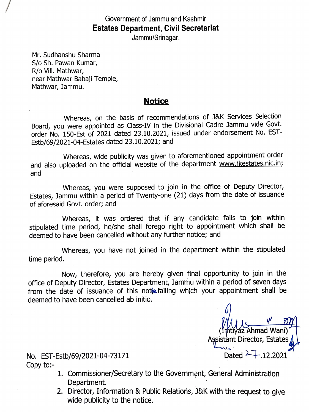Government of Jammu and Kashmir Estates Department, Civil Secretariat

Jammu/Srinagar.

Mr. Sudhanshu Sharma S/o Sh. Pawan Kumar, R/o Vill. Mathwar, near Mathwar Babaji Temple, Mathwar, Jammu.

## Notice

Whereas, on the basis of recommendations of J&K Services Selection Board, you were appointed as Class-IV in the Divisional Cadre Jammu vide Govt. order No. 150-Est of 2021 dated 23.10.2021, issued under endorsement No. EST-Estb/69/2021-04-Estates dated 23.10.2021; and

Whereas, wide publicity was given to aforementioned appointment order and also uploaded on the official website of the department www.jkestates.nic.in; and

Whereas, you were supposed to join in the office of Deputy Director, Estates, Jammu within a period of Twenty-one (21) days from the date of issuance of aforesaid Govt. order; and

Whereas, it was ordered that if any candidate fails to join within stipulated time period, he/she shall forego right to appointment which shall be deemed to have been cancelled without any further notice; and

Whereas, you have not joined in the department within the stipulated time period.

Now, therefore, you are hereby given final opportunity to join in the office of Deputy Director, Estates Department, Jammu within a period of seven days from the date of issuance of this notic failing which your appointment shall be deemed to have been cancelled ab initio.

 $\frac{v}{1}$ (Irhtiyaz Ahmad Wani)' Agsistant Director, Estates

No. EST-Estb/69/2021-04-73171 Dated <sup>2</sup> Copy to:-

- 1. Commissioner/Secretary to the Government, General Administration Department.
- 2. Director, Information & Public Relations, J&K with the request to give wide publicity to the notice.